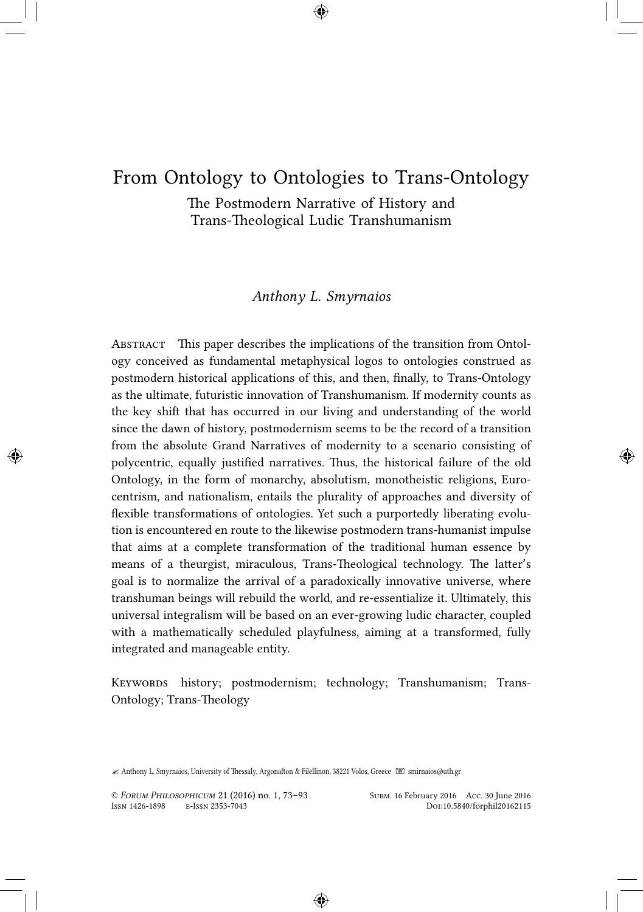# From Ontology to Ontologies to Trans-Ontology

The Postmodern Narrative of History and Trans-Theological Ludic Transhumanism

### *Anthony L. Smyrnaios*

Abstract This paper describes the implications of the transition from Ontology conceived as fundamental metaphysical logos to ontologies construed as postmodern historical applications of this, and then, finally, to Trans-Ontology as the ultimate, futuristic innovation of Transhumanism. If modernity counts as the key shift that has occurred in our living and understanding of the world since the dawn of history, postmodernism seems to be the record of a transition from the absolute Grand Narratives of modernity to a scenario consisting of polycentric, equally justified narratives. Thus, the historical failure of the old Ontology, in the form of monarchy, absolutism, monotheistic religions, Eurocentrism, and nationalism, entails the plurality of approaches and diversity of flexible transformations of ontologies. Yet such a purportedly liberating evolution is encountered en route to the likewise postmodern trans-humanist impulse that aims at a complete transformation of the traditional human essence by means of a theurgist, miraculous, Trans-Theological technology. The latter's goal is to normalize the arrival of a paradoxically innovative universe, where transhuman beings will rebuild the world, and re-essentialize it. Ultimately, this universal integralism will be based on an ever-growing ludic character, coupled with a mathematically scheduled playfulness, aiming at a transformed, fully integrated and manageable entity.

Keywords history; postmodernism; technology; Transhumanism; Trans-Ontology; Trans-Theology

✍ Anthony L. Smyrnaios, University of Thessaly, Argonafton & Filellinon, 38221 Volos, Greece smirnaios@uth.gr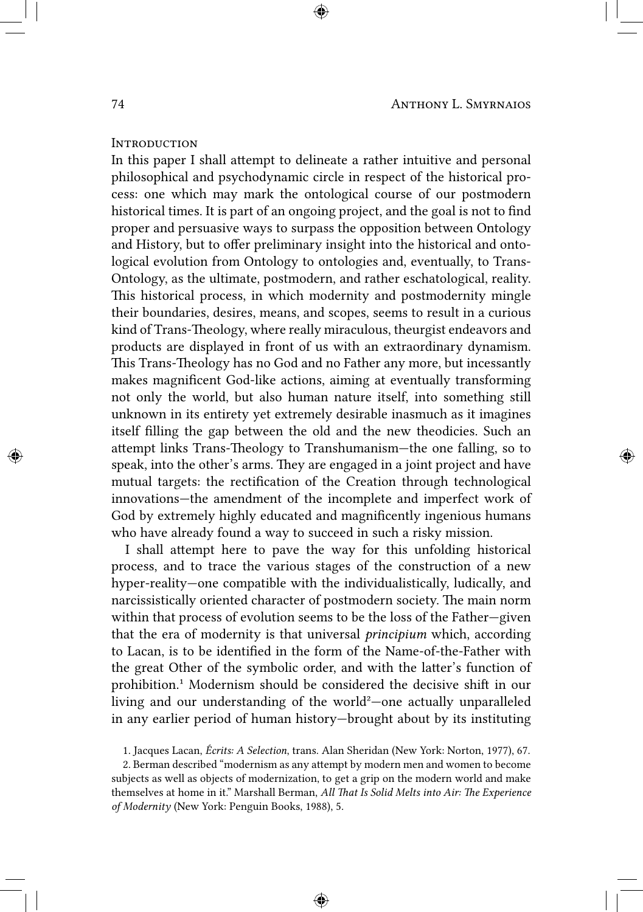#### **INTRODUCTION**

In this paper I shall attempt to delineate a rather intuitive and personal philosophical and psychodynamic circle in respect of the historical process: one which may mark the ontological course of our postmodern historical times. It is part of an ongoing project, and the goal is not to find proper and persuasive ways to surpass the opposition between Ontology and History, but to offer preliminary insight into the historical and ontological evolution from Ontology to ontologies and, eventually, to Trans-Ontology, as the ultimate, postmodern, and rather eschatological, reality. This historical process, in which modernity and postmodernity mingle their boundaries, desires, means, and scopes, seems to result in a curious kind of Trans-Theology, where really miraculous, theurgist endeavors and products are displayed in front of us with an extraordinary dynamism. This Trans-Theology has no God and no Father any more, but incessantly makes magnificent God-like actions, aiming at eventually transforming not only the world, but also human nature itself, into something still unknown in its entirety yet extremely desirable inasmuch as it imagines itself filling the gap between the old and the new theodicies. Such an attempt links Trans-Theology to Transhumanism—the one falling, so to speak, into the other's arms. They are engaged in a joint project and have mutual targets: the rectification of the Creation through technological innovations—the amendment of the incomplete and imperfect work of God by extremely highly educated and magnificently ingenious humans who have already found a way to succeed in such a risky mission.

I shall attempt here to pave the way for this unfolding historical process, and to trace the various stages of the construction of a new hyper-reality—one compatible with the individualistically, ludically, and narcissistically oriented character of postmodern society. The main norm within that process of evolution seems to be the loss of the Father—given that the era of modernity is that universal *principium* which, according to Lacan, is to be identified in the form of the Name-of-the-Father with the great Other of the symbolic order, and with the latter's function of prohibition.<sup>1</sup> Modernism should be considered the decisive shift in our living and our understanding of the world²—one actually unparalleled in any earlier period of human history—brought about by its instituting

1. Jacques Lacan, *Écrits: A Selection*, trans. Alan Sheridan (New York: Norton, 1977), 67.

2. Berman described "modernism as any attempt by modern men and women to become subjects as well as objects of modernization, to get a grip on the modern world and make themselves at home in it." Marshall Berman, *All That Is Solid Melts into Air: The Experience of Modernity* (New York: Penguin Books, 1988), 5.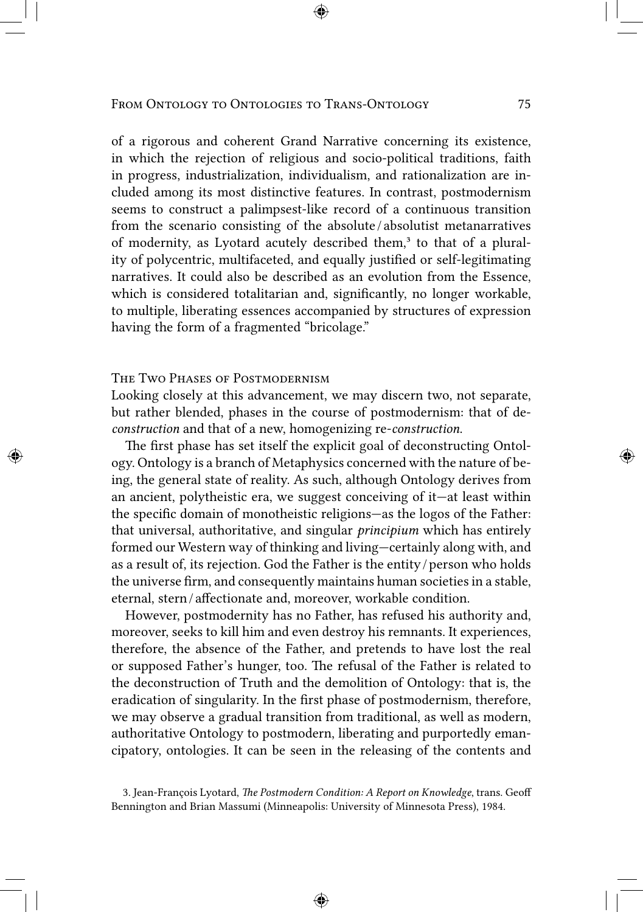of a rigorous and coherent Grand Narrative concerning its existence, in which the rejection of religious and socio-political traditions, faith in progress, industrialization, individualism, and rationalization are included among its most distinctive features. In contrast, postmodernism seems to construct a palimpsest-like record of a continuous transition from the scenario consisting of the absolute */* absolutist metanarratives of modernity, as Lyotard acutely described them,<sup>3</sup> to that of a plurality of polycentric, multifaceted, and equally justified or self-legitimating narratives. It could also be described as an evolution from the Essence, which is considered totalitarian and, significantly, no longer workable, to multiple, liberating essences accompanied by structures of expression having the form of a fragmented "bricolage."

## The Two Phases of Postmodernism

Looking closely at this advancement, we may discern two, not separate, but rather blended, phases in the course of postmodernism: that of de*construction* and that of a new, homogenizing re-*construction*.

The first phase has set itself the explicit goal of deconstructing Ontology. Ontology is a branch of Metaphysics concerned with the nature of being, the general state of reality. As such, although Ontology derives from an ancient, polytheistic era, we suggest conceiving of it—at least within the specific domain of monotheistic religions—as the logos of the Father: that universal, authoritative, and singular *principium* which has entirely formed our Western way of thinking and living—certainly along with, and as a result of, its rejection. God the Father is the entity / person who holds the universe firm, and consequently maintains human societies in a stable, eternal, stern / affectionate and, moreover, workable condition.

However, postmodernity has no Father, has refused his authority and, moreover, seeks to kill him and even destroy his remnants. It experiences, therefore, the absence of the Father, and pretends to have lost the real or supposed Father's hunger, too. The refusal of the Father is related to the deconstruction of Truth and the demolition of Ontology: that is, the eradication of singularity. In the first phase of postmodernism, therefore, we may observe a gradual transition from traditional, as well as modern, authoritative Ontology to postmodern, liberating and purportedly emancipatory, ontologies. It can be seen in the releasing of the contents and

<sup>3.</sup> Jean-François Lyotard, *The Postmodern Condition: A Report on Knowledge*, trans. Geoff Bennington and Brian Massumi (Minneapolis: University of Minnesota Press), 1984.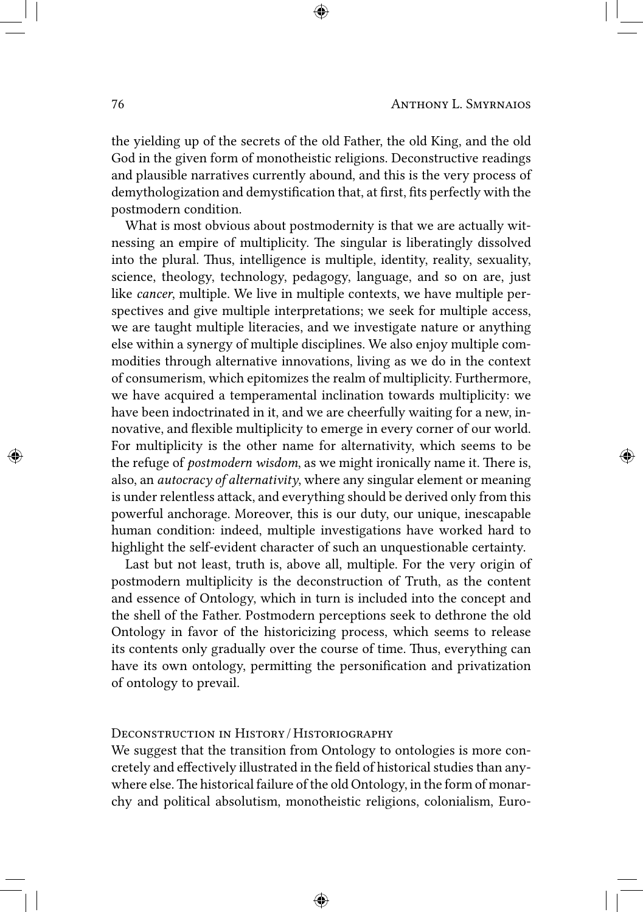the yielding up of the secrets of the old Father, the old King, and the old God in the given form of monotheistic religions. Deconstructive readings and plausible narratives currently abound, and this is the very process of demythologization and demystification that, at first, fits perfectly with the postmodern condition.

What is most obvious about postmodernity is that we are actually witnessing an empire of multiplicity. The singular is liberatingly dissolved into the plural. Thus, intelligence is multiple, identity, reality, sexuality, science, theology, technology, pedagogy, language, and so on are, just like *cancer*, multiple. We live in multiple contexts, we have multiple perspectives and give multiple interpretations; we seek for multiple access, we are taught multiple literacies, and we investigate nature or anything else within a synergy of multiple disciplines. We also enjoy multiple commodities through alternative innovations, living as we do in the context of consumerism, which epitomizes the realm of multiplicity. Furthermore, we have acquired a temperamental inclination towards multiplicity: we have been indoctrinated in it, and we are cheerfully waiting for a new, innovative, and flexible multiplicity to emerge in every corner of our world. For multiplicity is the other name for alternativity, which seems to be the refuge of *postmodern wisdom*, as we might ironically name it. There is, also, an *autocracy of alternativity*, where any singular element or meaning is under relentless attack, and everything should be derived only from this powerful anchorage. Moreover, this is our duty, our unique, inescapable human condition: indeed, multiple investigations have worked hard to highlight the self-evident character of such an unquestionable certainty.

Last but not least, truth is, above all, multiple. For the very origin of postmodern multiplicity is the deconstruction of Truth, as the content and essence of Ontology, which in turn is included into the concept and the shell of the Father. Postmodern perceptions seek to dethrone the old Ontology in favor of the historicizing process, which seems to release its contents only gradually over the course of time. Thus, everything can have its own ontology, permitting the personification and privatization of ontology to prevail.

## Deconstruction in History / Historiography

We suggest that the transition from Ontology to ontologies is more concretely and effectively illustrated in the field of historical studies than anywhere else.The historical failure of the old Ontology, in the form of monarchy and political absolutism, monotheistic religions, colonialism, Euro-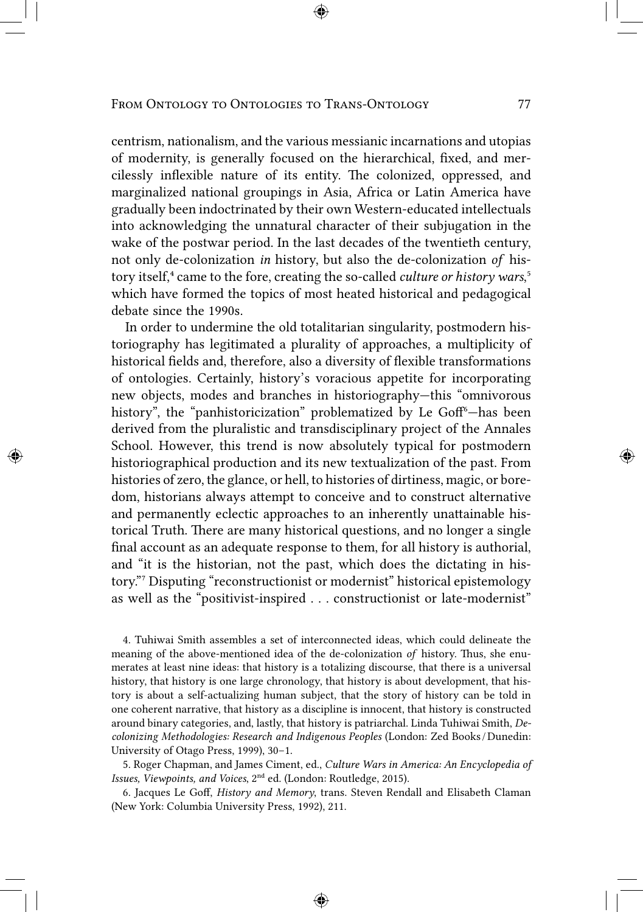centrism, nationalism, and the various messianic incarnations and utopias of modernity, is generally focused on the hierarchical, fixed, and mercilessly inflexible nature of its entity. The colonized, oppressed, and marginalized national groupings in Asia, Africa or Latin America have gradually been indoctrinated by their own Western-educated intellectuals into acknowledging the unnatural character of their subjugation in the wake of the postwar period. In the last decades of the twentieth century, not only de-colonization *in* history, but also the de-colonization *of* history itself,<sup>4</sup> came to the fore, creating the so-called *culture or history wars*,<sup>5</sup> which have formed the topics of most heated historical and pedagogical debate since the 1990s.

In order to undermine the old totalitarian singularity, postmodern historiography has legitimated a plurality of approaches, a multiplicity of historical fields and, therefore, also a diversity of flexible transformations of ontologies. Certainly, history's voracious appetite for incorporating new objects, modes and branches in historiography—this "omnivorous history", the "panhistoricization" problematized by Le Goff<sup>6</sup>-has been derived from the pluralistic and transdisciplinary project of the Annales School. However, this trend is now absolutely typical for postmodern historiographical production and its new textualization of the past. From histories of zero, the glance, or hell, to histories of dirtiness, magic, or boredom, historians always attempt to conceive and to construct alternative and permanently eclectic approaches to an inherently unattainable historical Truth. There are many historical questions, and no longer a single final account as an adequate response to them, for all history is authorial, and "it is the historian, not the past, which does the dictating in history." Disputing "reconstructionist or modernist" historical epistemology as well as the "positivist-inspired . . . constructionist or late-modernist"

4. Tuhiwai Smith assembles a set of interconnected ideas, which could delineate the meaning of the above-mentioned idea of the de-colonization *of* history. Thus, she enumerates at least nine ideas: that history is a totalizing discourse, that there is a universal history, that history is one large chronology, that history is about development, that history is about a self-actualizing human subject, that the story of history can be told in one coherent narrative, that history as a discipline is innocent, that history is constructed around binary categories, and, lastly, that history is patriarchal. Linda Tuhiwai Smith, *Decolonizing Methodologies: Research and Indigenous Peoples* (London: Zed Books / Dunedin: University of Otago Press, 1999), 30–1.

5. Roger Chapman, and James Ciment, ed., *Culture Wars in America: An Encyclopedia of Issues, Viewpoints, and Voices, 2<sup>nd</sup> ed. (London: Routledge, 2015).* 

6. Jacques Le Goff, *History and Memory*, trans. Steven Rendall and Elisabeth Claman (New York: Columbia University Press, 1992), 211.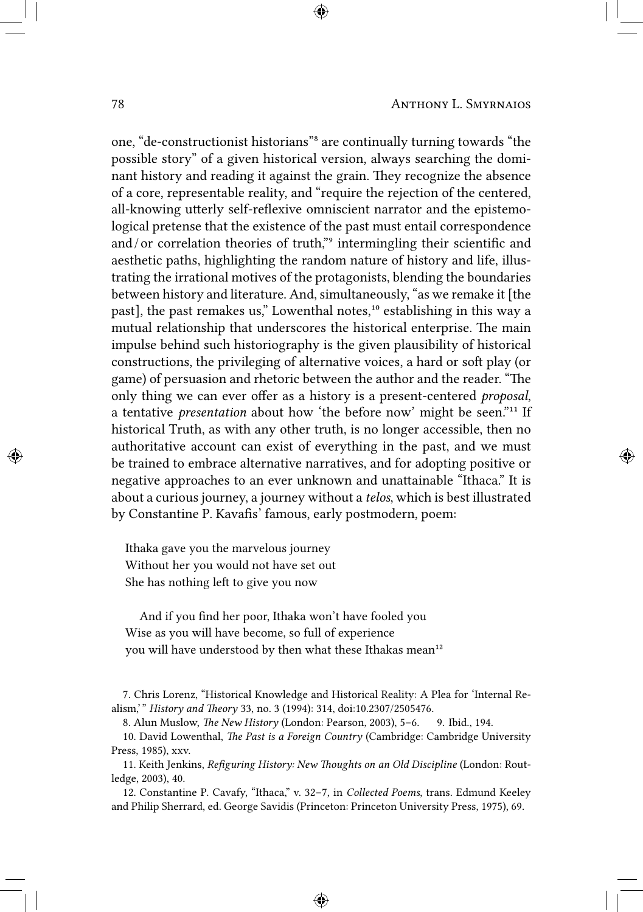one, "de-constructionist historians"<sup>8</sup> are continually turning towards "the possible story" of a given historical version, always searching the dominant history and reading it against the grain. They recognize the absence of a core, representable reality, and "require the rejection of the centered, all-knowing utterly self-reflexive omniscient narrator and the epistemological pretense that the existence of the past must entail correspondence and/or correlation theories of truth," intermingling their scientific and aesthetic paths, highlighting the random nature of history and life, illustrating the irrational motives of the protagonists, blending the boundaries between history and literature. And, simultaneously, "as we remake it [the past], the past remakes us," Lowenthal notes,<sup>10</sup> establishing in this way a mutual relationship that underscores the historical enterprise. The main impulse behind such historiography is the given plausibility of historical constructions, the privileging of alternative voices, a hard or soft play (or game) of persuasion and rhetoric between the author and the reader. "The only thing we can ever offer as a history is a present-centered *proposal*, a tentative *presentation* about how 'the before now' might be seen."<sup>11</sup> If historical Truth, as with any other truth, is no longer accessible, then no authoritative account can exist of everything in the past, and we must be trained to embrace alternative narratives, and for adopting positive or negative approaches to an ever unknown and unattainable "Ithaca." It is about a curious journey, a journey without a *telos*, which is best illustrated by Constantine P. Kavafis' famous, early postmodern, poem:

Ithaka gave you the marvelous journey Without her you would not have set out She has nothing left to give you now

And if you find her poor, Ithaka won't have fooled you Wise as you will have become, so full of experience you will have understood by then what these Ithakas mean<sup>12</sup>

7. Chris Lorenz, "Historical Knowledge and Historical Reality: A Plea for 'Internal Realism,' " *History and Theory* 33, no. 3 (1994): 314, doi:10.2307/2505476.

8. Alun Muslow, *The New History* (London: Pearson, 2003), 5–6. 9. Ibid., 194.

10. David Lowenthal, *The Past is a Foreign Country* (Cambridge: Cambridge University Press, 1985), xxv.

11. Keith Jenkins, *Refiguring History: New Thoughts on an Old Discipline* (London: Routledge, 2003), 40.

12. Constantine P. Cavafy, "Ithaca," v. 32–7, in *Collected Poems*, trans. Edmund Keeley and Philip Sherrard, ed. George Savidis (Princeton: Princeton University Press, 1975), 69.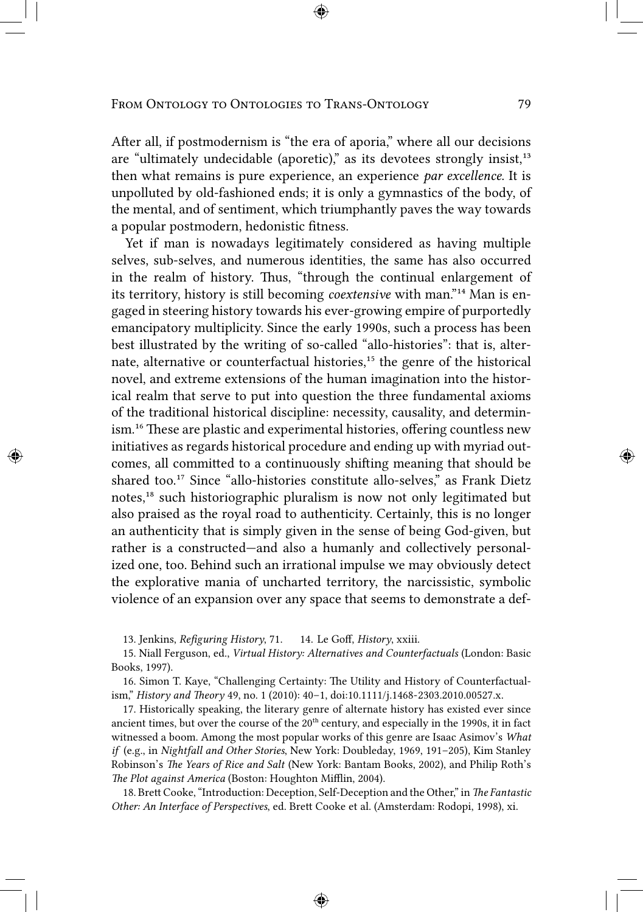After all, if postmodernism is "the era of aporia," where all our decisions are "ultimately undecidable (aporetic)," as its devotees strongly insist, $13$ then what remains is pure experience, an experience *par excellence*. It is unpolluted by old-fashioned ends; it is only a gymnastics of the body, of the mental, and of sentiment, which triumphantly paves the way towards a popular postmodern, hedonistic fitness.

Yet if man is nowadays legitimately considered as having multiple selves, sub-selves, and numerous identities, the same has also occurred in the realm of history. Thus, "through the continual enlargement of its territory, history is still becoming *coextensive* with man."<sup>14</sup> Man is engaged in steering history towards his ever-growing empire of purportedly emancipatory multiplicity. Since the early 1990s, such a process has been best illustrated by the writing of so-called "allo-histories": that is, alternate, alternative or counterfactual histories,<sup>15</sup> the genre of the historical novel, and extreme extensions of the human imagination into the historical realm that serve to put into question the three fundamental axioms of the traditional historical discipline: necessity, causality, and determinism.<sup>16</sup> These are plastic and experimental histories, offering countless new initiatives as regards historical procedure and ending up with myriad outcomes, all committed to a continuously shifting meaning that should be shared too.<sup>17</sup> Since "allo-histories constitute allo-selves," as Frank Dietz notes,<sup>18</sup> such historiographic pluralism is now not only legitimated but also praised as the royal road to authenticity. Certainly, this is no longer an authenticity that is simply given in the sense of being God-given, but rather is a constructed—and also a humanly and collectively personalized one, too. Behind such an irrational impulse we may obviously detect the explorative mania of uncharted territory, the narcissistic, symbolic violence of an expansion over any space that seems to demonstrate a def-

13. Jenkins, *Refiguring History*, 71. 14. Le Goff, *History*, xxiii.

15. Niall Ferguson, ed., *Virtual History: Alternatives and Counterfactuals* (London: Basic Books, 1997).

16. Simon T. Kaye, "Challenging Certainty: The Utility and History of Counterfactualism," *History and Theory* 49, no. 1 (2010): 40–1, doi:10.1111/j.1468-2303.2010.00527.x.

17. Historically speaking, the literary genre of alternate history has existed ever since ancient times, but over the course of the  $20<sup>th</sup>$  century, and especially in the 1990s, it in fact witnessed a boom. Among the most popular works of this genre are Isaac Asimov's *What if* (e.g., in *Nightfall and Other Stories*, New York: Doubleday, 1969, 191–205), Kim Stanley Robinson's *The Years of Rice and Salt* (New York: Bantam Books, 2002), and Philip Roth's *The Plot against America* (Boston: Houghton Mifflin, 2004).

18. Brett Cooke, "Introduction: Deception, Self-Deception and the Other," in *The Fantastic Other: An Interface of Perspectives*, ed. Brett Cooke et al. (Amsterdam: Rodopi, 1998), xi.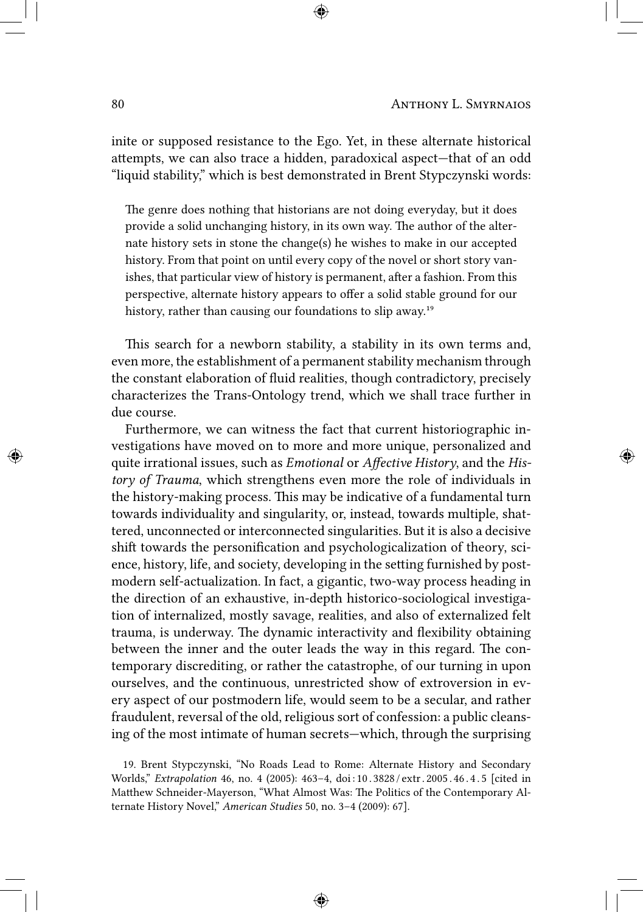inite or supposed resistance to the Ego. Yet, in these alternate historical attempts, we can also trace a hidden, paradoxical aspect—that of an odd "liquid stability," which is best demonstrated in Brent Stypczynski words:

The genre does nothing that historians are not doing everyday, but it does provide a solid unchanging history, in its own way. The author of the alternate history sets in stone the change(s) he wishes to make in our accepted history. From that point on until every copy of the novel or short story vanishes, that particular view of history is permanent, after a fashion. From this perspective, alternate history appears to offer a solid stable ground for our history, rather than causing our foundations to slip away.<sup>19</sup>

This search for a newborn stability, a stability in its own terms and, even more, the establishment of a permanent stability mechanism through the constant elaboration of fluid realities, though contradictory, precisely characterizes the Trans-Ontology trend, which we shall trace further in due course.

Furthermore, we can witness the fact that current historiographic investigations have moved on to more and more unique, personalized and quite irrational issues, such as *Emotional* or *Affective History*, and the *History of Trauma*, which strengthens even more the role of individuals in the history-making process. This may be indicative of a fundamental turn towards individuality and singularity, or, instead, towards multiple, shattered, unconnected or interconnected singularities. But it is also a decisive shift towards the personification and psychologicalization of theory, science, history, life, and society, developing in the setting furnished by postmodern self-actualization. In fact, a gigantic, two-way process heading in the direction of an exhaustive, in-depth historico-sociological investigation of internalized, mostly savage, realities, and also of externalized felt trauma, is underway. The dynamic interactivity and flexibility obtaining between the inner and the outer leads the way in this regard. The contemporary discrediting, or rather the catastrophe, of our turning in upon ourselves, and the continuous, unrestricted show of extroversion in every aspect of our postmodern life, would seem to be a secular, and rather fraudulent, reversal of the old, religious sort of confession: a public cleansing of the most intimate of human secrets—which, through the surprising

<sup>19.</sup> Brent Stypczynski, "No Roads Lead to Rome: Alternate History and Secondary Worlds," *Extrapolation* 46, no. 4 (2005): 463–4, doi : 10 . 3828 / extr . 2005 . 46 . 4 . 5 [cited in Matthew Schneider-Mayerson, "What Almost Was: The Politics of the Contemporary Alternate History Novel," *American Studies* 50, no. 3–4 (2009): 67].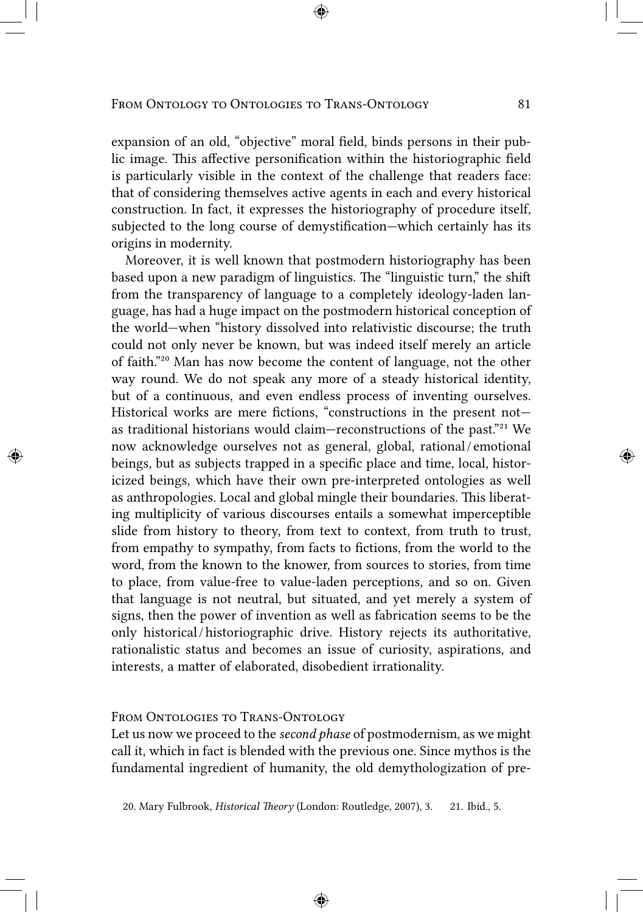expansion of an old, "objective" moral field, binds persons in their public image. This affective personification within the historiographic field is particularly visible in the context of the challenge that readers face: that of considering themselves active agents in each and every historical construction. In fact, it expresses the historiography of procedure itself, subjected to the long course of demystification—which certainly has its origins in modernity.

Moreover, it is well known that postmodern historiography has been based upon a new paradigm of linguistics. The "linguistic turn," the shift from the transparency of language to a completely ideology-laden language, has had a huge impact on the postmodern historical conception of the world—when "history dissolved into relativistic discourse; the truth could not only never be known, but was indeed itself merely an article of faith."²⁰ Man has now become the content of language, not the other way round. We do not speak any more of a steady historical identity, but of a continuous, and even endless process of inventing ourselves. Historical works are mere fictions, "constructions in the present not as traditional historians would claim—reconstructions of the past."<sup>21</sup> We now acknowledge ourselves not as general, global, rational / emotional beings, but as subjects trapped in a specific place and time, local, historicized beings, which have their own pre-interpreted ontologies as well as anthropologies. Local and global mingle their boundaries. This liberating multiplicity of various discourses entails a somewhat imperceptible slide from history to theory, from text to context, from truth to trust, from empathy to sympathy, from facts to fictions, from the world to the word, from the known to the knower, from sources to stories, from time to place, from value-free to value-laden perceptions, and so on. Given that language is not neutral, but situated, and yet merely a system of signs, then the power of invention as well as fabrication seems to be the only historical / historiographic drive. History rejects its authoritative, rationalistic status and becomes an issue of curiosity, aspirations, and interests, a matter of elaborated, disobedient irrationality.

#### FROM ONTOLOGIES TO TRANS-ONTOLOGY

Let us now we proceed to the *second phase* of postmodernism, as we might call it, which in fact is blended with the previous one. Since mythos is the fundamental ingredient of humanity, the old demythologization of pre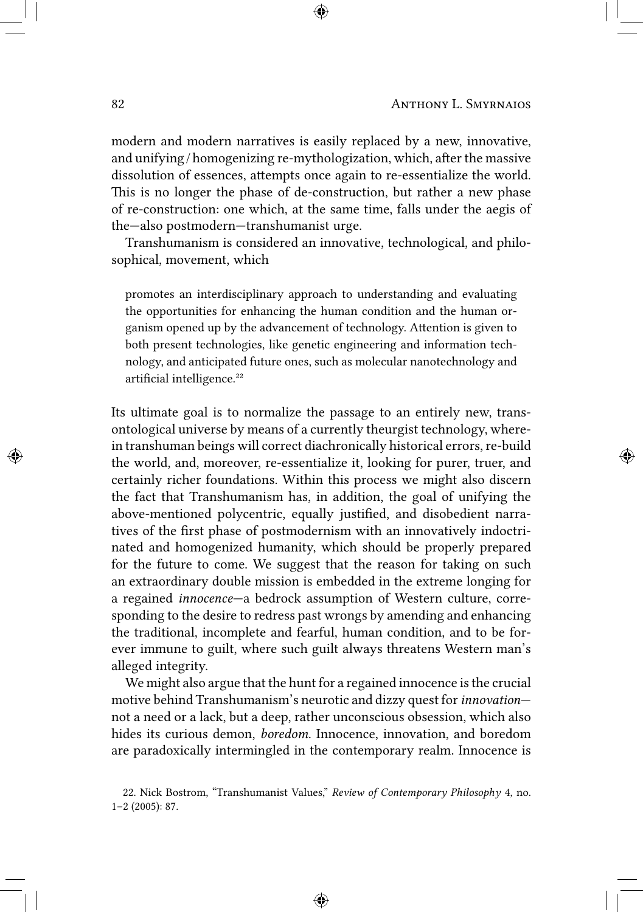modern and modern narratives is easily replaced by a new, innovative, and unifying / homogenizing re-mythologization, which, after the massive dissolution of essences, attempts once again to re-essentialize the world. This is no longer the phase of de-construction, but rather a new phase of re-construction: one which, at the same time, falls under the aegis of the—also postmodern—transhumanist urge.

Transhumanism is considered an innovative, technological, and philosophical, movement, which

promotes an interdisciplinary approach to understanding and evaluating the opportunities for enhancing the human condition and the human organism opened up by the advancement of technology. Attention is given to both present technologies, like genetic engineering and information technology, and anticipated future ones, such as molecular nanotechnology and artificial intelligence.²²

Its ultimate goal is to normalize the passage to an entirely new, transontological universe by means of a currently theurgist technology, wherein transhuman beings will correct diachronically historical errors, re-build the world, and, moreover, re-essentialize it, looking for purer, truer, and certainly richer foundations. Within this process we might also discern the fact that Transhumanism has, in addition, the goal of unifying the above-mentioned polycentric, equally justified, and disobedient narratives of the first phase of postmodernism with an innovatively indoctrinated and homogenized humanity, which should be properly prepared for the future to come. We suggest that the reason for taking on such an extraordinary double mission is embedded in the extreme longing for a regained *innocence*—a bedrock assumption of Western culture, corresponding to the desire to redress past wrongs by amending and enhancing the traditional, incomplete and fearful, human condition, and to be forever immune to guilt, where such guilt always threatens Western man's alleged integrity.

We might also argue that the hunt for a regained innocence is the crucial motive behind Transhumanism's neurotic and dizzy quest for*innovation* not a need or a lack, but a deep, rather unconscious obsession, which also hides its curious demon, *boredom*. Innocence, innovation, and boredom are paradoxically intermingled in the contemporary realm. Innocence is

<sup>22.</sup> Nick Bostrom, "Transhumanist Values," *Review of Contemporary Philosophy* 4, no. 1–2 (2005): 87.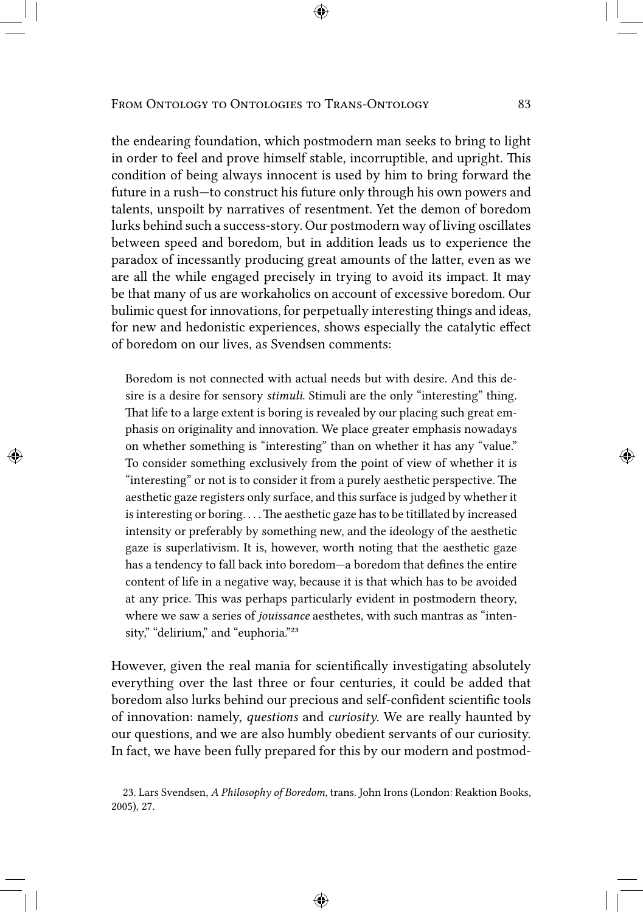the endearing foundation, which postmodern man seeks to bring to light in order to feel and prove himself stable, incorruptible, and upright. This condition of being always innocent is used by him to bring forward the future in a rush—to construct his future only through his own powers and talents, unspoilt by narratives of resentment. Yet the demon of boredom lurks behind such a success-story. Our postmodern way of living oscillates between speed and boredom, but in addition leads us to experience the paradox of incessantly producing great amounts of the latter, even as we are all the while engaged precisely in trying to avoid its impact. It may be that many of us are workaholics on account of excessive boredom. Our bulimic quest for innovations, for perpetually interesting things and ideas, for new and hedonistic experiences, shows especially the catalytic effect of boredom on our lives, as Svendsen comments:

Boredom is not connected with actual needs but with desire. And this desire is a desire for sensory *stimuli*. Stimuli are the only "interesting" thing. That life to a large extent is boring is revealed by our placing such great emphasis on originality and innovation. We place greater emphasis nowadays on whether something is "interesting" than on whether it has any "value." To consider something exclusively from the point of view of whether it is "interesting" or not is to consider it from a purely aesthetic perspective. The aesthetic gaze registers only surface, and this surface is judged by whether it is interesting or boring. . . . The aesthetic gaze has to be titillated by increased intensity or preferably by something new, and the ideology of the aesthetic gaze is superlativism. It is, however, worth noting that the aesthetic gaze has a tendency to fall back into boredom—a boredom that defines the entire content of life in a negative way, because it is that which has to be avoided at any price. This was perhaps particularly evident in postmodern theory, where we saw a series of *jouissance* aesthetes, with such mantras as "intensity," "delirium," and "euphoria."<sup>23</sup>

However, given the real mania for scientifically investigating absolutely everything over the last three or four centuries, it could be added that boredom also lurks behind our precious and self-confident scientific tools of innovation: namely, *questions* and *curiosity*. We are really haunted by our questions, and we are also humbly obedient servants of our curiosity. In fact, we have been fully prepared for this by our modern and postmod-

<sup>23.</sup> Lars Svendsen, *A Philosophy of Boredom*, trans. John Irons (London: Reaktion Books, 2005), 27.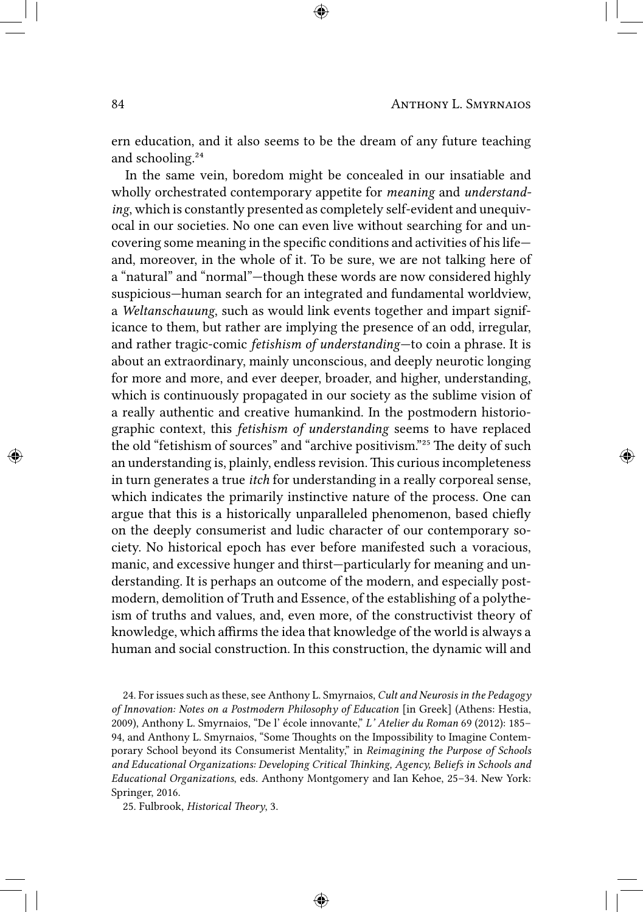ern education, and it also seems to be the dream of any future teaching and schooling.<sup>24</sup>

In the same vein, boredom might be concealed in our insatiable and wholly orchestrated contemporary appetite for *meaning* and *understanding*, which is constantly presented as completely self-evident and unequivocal in our societies. No one can even live without searching for and uncovering some meaning in the specific conditions and activities of his life and, moreover, in the whole of it. To be sure, we are not talking here of a "natural" and "normal"—though these words are now considered highly suspicious—human search for an integrated and fundamental worldview, a *Weltanschauung*, such as would link events together and impart significance to them, but rather are implying the presence of an odd, irregular, and rather tragic-comic *fetishism of understanding*—to coin a phrase. It is about an extraordinary, mainly unconscious, and deeply neurotic longing for more and more, and ever deeper, broader, and higher, understanding, which is continuously propagated in our society as the sublime vision of a really authentic and creative humankind. In the postmodern historiographic context, this *fetishism of understanding* seems to have replaced the old "fetishism of sources" and "archive positivism."<sup>25</sup> The deity of such an understanding is, plainly, endless revision. This curious incompleteness in turn generates a true *itch* for understanding in a really corporeal sense, which indicates the primarily instinctive nature of the process. One can argue that this is a historically unparalleled phenomenon, based chiefly on the deeply consumerist and ludic character of our contemporary society. No historical epoch has ever before manifested such a voracious, manic, and excessive hunger and thirst—particularly for meaning and understanding. It is perhaps an outcome of the modern, and especially postmodern, demolition of Truth and Essence, of the establishing of a polytheism of truths and values, and, even more, of the constructivist theory of knowledge, which affirms the idea that knowledge of the world is always a human and social construction. In this construction, the dynamic will and

24. For issues such as these, see Anthony L. Smyrnaios, *Cult and Neurosis in the Pedagogy of Innovation: Notes on a Postmodern Philosophy of Education* [in Greek] (Athens: Hestia, 2009), Anthony L. Smyrnaios, "De l' école innovante," *L' Atelier du Roman* 69 (2012): 185– 94, and Anthony L. Smyrnaios, "Some Thoughts on the Impossibility to Imagine Contemporary School beyond its Consumerist Mentality," in *Reimagining the Purpose of Schools and Educational Organizations: Developing Critical Thinking, Agency, Beliefs in Schools and Educational Organizations*, eds. Anthony Montgomery and Ian Kehoe, 25–34. New York: Springer, 2016.

25. Fulbrook, *Historical Theory*, 3.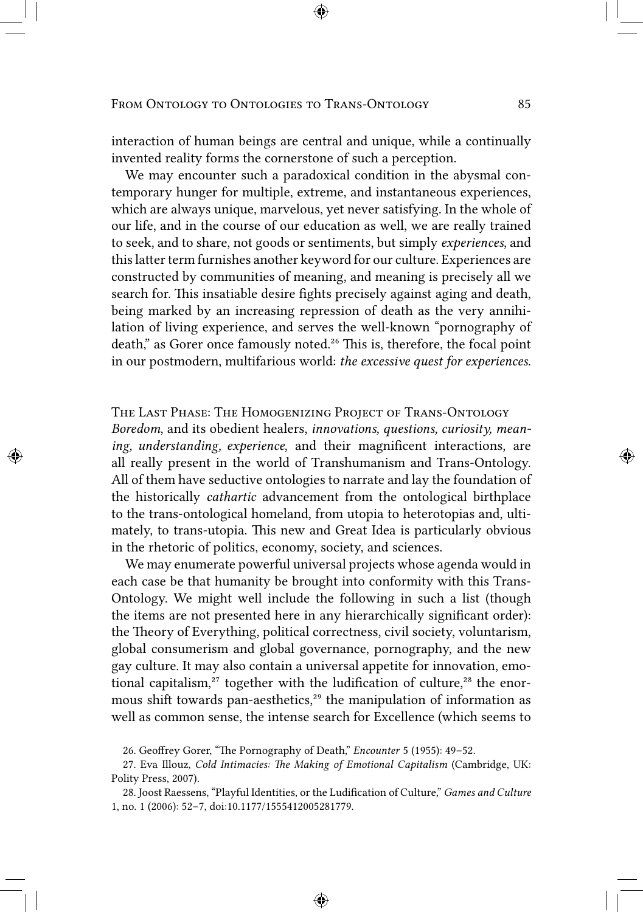interaction of human beings are central and unique, while a continually invented reality forms the cornerstone of such a perception.

We may encounter such a paradoxical condition in the abysmal contemporary hunger for multiple, extreme, and instantaneous experiences, which are always unique, marvelous, yet never satisfying. In the whole of our life, and in the course of our education as well, we are really trained to seek, and to share, not goods or sentiments, but simply *experiences*, and this latter term furnishes another keyword for our culture. Experiences are constructed by communities of meaning, and meaning is precisely all we search for. This insatiable desire fights precisely against aging and death, being marked by an increasing repression of death as the very annihilation of living experience, and serves the well-known "pornography of death," as Gorer once famously noted.<sup>26</sup> This is, therefore, the focal point in our postmodern, multifarious world: *the excessive quest for experiences*.

The Last Phase: The Homogenizing Project of Trans-Ontology *Boredom*, and its obedient healers, *innovations, questions, curiosity, meaning, understanding, experience*, and their magnificent interactions, are all really present in the world of Transhumanism and Trans-Ontology. All of them have seductive ontologies to narrate and lay the foundation of the historically *cathartic* advancement from the ontological birthplace to the trans-ontological homeland, from utopia to heterotopias and, ultimately, to trans-utopia. This new and Great Idea is particularly obvious in the rhetoric of politics, economy, society, and sciences.

We may enumerate powerful universal projects whose agenda would in each case be that humanity be brought into conformity with this Trans-Ontology. We might well include the following in such a list (though the items are not presented here in any hierarchically significant order): the Theory of Everything, political correctness, civil society, voluntarism, global consumerism and global governance, pornography, and the new gay culture. It may also contain a universal appetite for innovation, emotional capitalism, $27$  together with the ludification of culture, $28$  the enormous shift towards pan-aesthetics,<sup>29</sup> the manipulation of information as well as common sense, the intense search for Excellence (which seems to

<sup>26.</sup> Geoffrey Gorer, "The Pornography of Death," *Encounter* 5 (1955): 49–52.

<sup>27.</sup> Eva Illouz, *Cold Intimacies: The Making of Emotional Capitalism* (Cambridge, UK: Polity Press, 2007).

<sup>28.</sup> Joost Raessens, "Playful Identities, or the Ludification of Culture," *Games and Culture* 1, no. 1 (2006): 52–7, doi:10.1177/1555412005281779.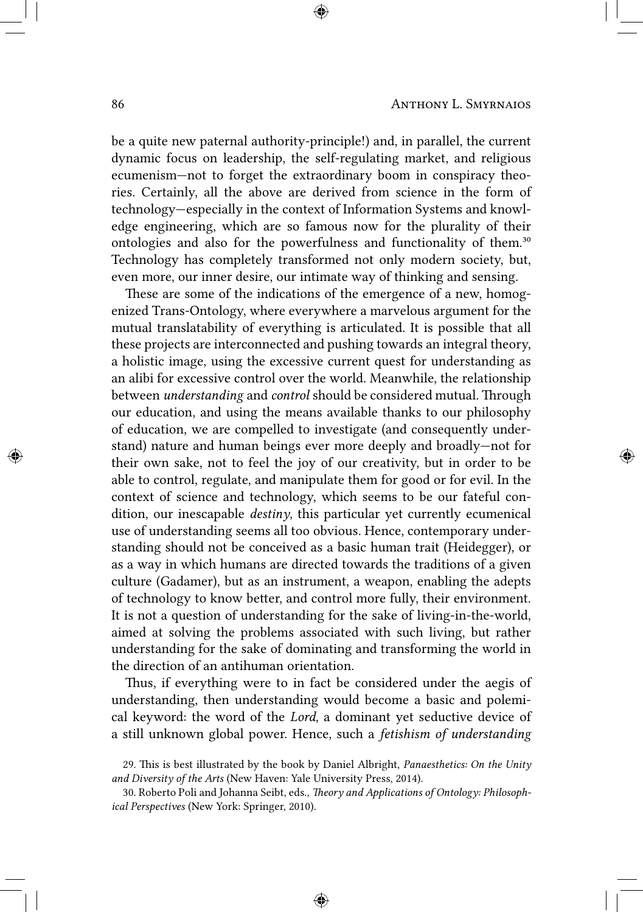be a quite new paternal authority-principle!) and, in parallel, the current dynamic focus on leadership, the self-regulating market, and religious ecumenism—not to forget the extraordinary boom in conspiracy theories. Certainly, all the above are derived from science in the form of technology—especially in the context of Information Systems and knowledge engineering, which are so famous now for the plurality of their ontologies and also for the powerfulness and functionality of them.<sup>30</sup> Technology has completely transformed not only modern society, but, even more, our inner desire, our intimate way of thinking and sensing.

These are some of the indications of the emergence of a new, homogenized Trans-Ontology, where everywhere a marvelous argument for the mutual translatability of everything is articulated. It is possible that all these projects are interconnected and pushing towards an integral theory, a holistic image, using the excessive current quest for understanding as an alibi for excessive control over the world. Meanwhile, the relationship between *understanding* and *control* should be considered mutual. Through our education, and using the means available thanks to our philosophy of education, we are compelled to investigate (and consequently understand) nature and human beings ever more deeply and broadly—not for their own sake, not to feel the joy of our creativity, but in order to be able to control, regulate, and manipulate them for good or for evil. In the context of science and technology, which seems to be our fateful condition, our inescapable *destiny*, this particular yet currently ecumenical use of understanding seems all too obvious. Hence, contemporary understanding should not be conceived as a basic human trait (Heidegger), or as a way in which humans are directed towards the traditions of a given culture (Gadamer), but as an instrument, a weapon, enabling the adepts of technology to know better, and control more fully, their environment. It is not a question of understanding for the sake of living-in-the-world, aimed at solving the problems associated with such living, but rather understanding for the sake of dominating and transforming the world in the direction of an antihuman orientation.

Thus, if everything were to in fact be considered under the aegis of understanding, then understanding would become a basic and polemical keyword: the word of the *Lord*, a dominant yet seductive device of a still unknown global power. Hence, such a *fetishism of understanding*

<sup>29.</sup> This is best illustrated by the book by Daniel Albright, *Panaesthetics: On the Unity and Diversity of the Arts* (New Haven: Yale University Press, 2014).

<sup>30.</sup> Roberto Poli and Johanna Seibt, eds., *Theory and Applications of Ontology: Philosophical Perspectives* (New York: Springer, 2010).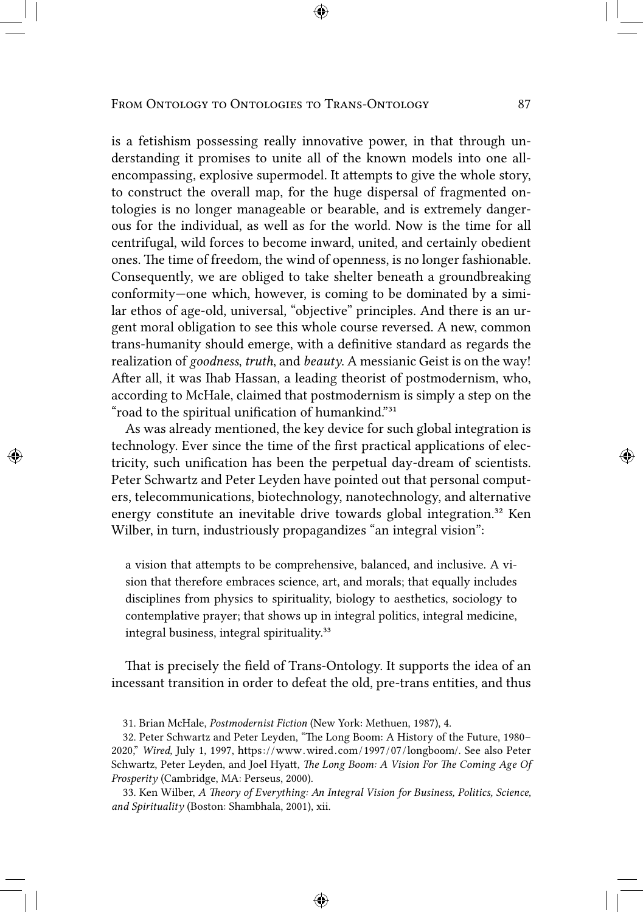is a fetishism possessing really innovative power, in that through understanding it promises to unite all of the known models into one allencompassing, explosive supermodel. It attempts to give the whole story, to construct the overall map, for the huge dispersal of fragmented ontologies is no longer manageable or bearable, and is extremely dangerous for the individual, as well as for the world. Now is the time for all centrifugal, wild forces to become inward, united, and certainly obedient ones. The time of freedom, the wind of openness, is no longer fashionable. Consequently, we are obliged to take shelter beneath a groundbreaking conformity—one which, however, is coming to be dominated by a similar ethos of age-old, universal, "objective" principles. And there is an urgent moral obligation to see this whole course reversed. A new, common trans-humanity should emerge, with a definitive standard as regards the realization of *goodness*, *truth*, and *beauty*. A messianic Geist is on the way! After all, it was Ihab Hassan, a leading theorist of postmodernism, who, according to McHale, claimed that postmodernism is simply a step on the "road to the spiritual unification of humankind."<sup>31</sup>

As was already mentioned, the key device for such global integration is technology. Ever since the time of the first practical applications of electricity, such unification has been the perpetual day-dream of scientists. Peter Schwartz and Peter Leyden have pointed out that personal computers, telecommunications, biotechnology, nanotechnology, and alternative energy constitute an inevitable drive towards global integration.<sup>32</sup> Ken Wilber, in turn, industriously propagandizes "an integral vision":

a vision that attempts to be comprehensive, balanced, and inclusive. A vision that therefore embraces science, art, and morals; that equally includes disciplines from physics to spirituality, biology to aesthetics, sociology to contemplative prayer; that shows up in integral politics, integral medicine, integral business, integral spirituality.<sup>33</sup>

That is precisely the field of Trans-Ontology. It supports the idea of an incessant transition in order to defeat the old, pre-trans entities, and thus

33. Ken Wilber, *A Theory of Everything: An Integral Vision for Business, Politics, Science, and Spirituality* (Boston: Shambhala, 2001), xii.

<sup>31.</sup> Brian McHale, *Postmodernist Fiction* (New York: Methuen, 1987), 4.

<sup>32.</sup> Peter Schwartz and Peter Leyden, "The Long Boom: A History of the Future, 1980– 2020," *Wired*, July 1, 1997, https: / /www.wired.com /1997 /07 /longboom/. See also Peter Schwartz, Peter Leyden, and Joel Hyatt, *The Long Boom: A Vision For The Coming Age Of Prosperity* (Cambridge, MA: Perseus, 2000).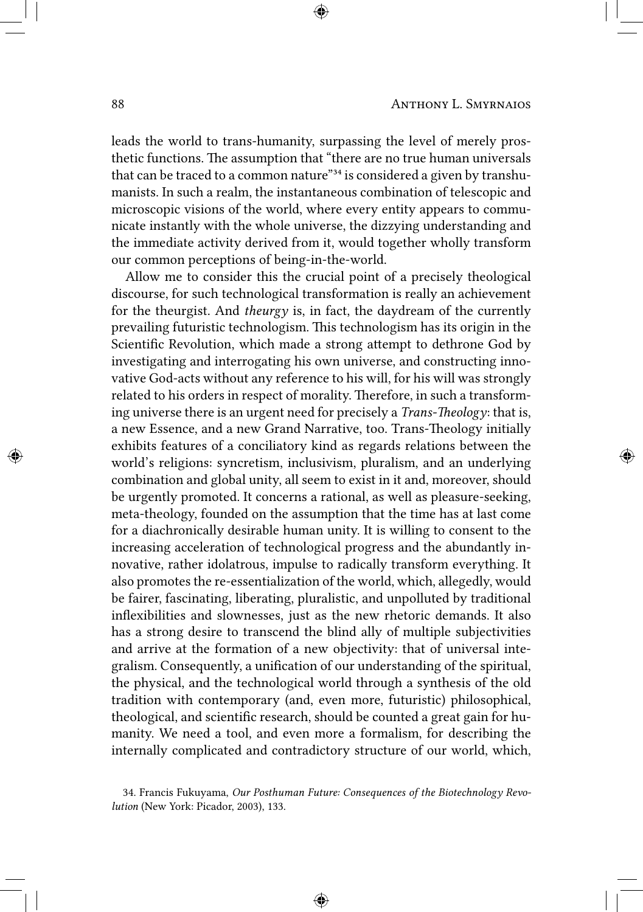leads the world to trans-humanity, surpassing the level of merely prosthetic functions. The assumption that "there are no true human universals that can be traced to a common nature"<sup>34</sup> is considered a given by transhumanists. In such a realm, the instantaneous combination of telescopic and microscopic visions of the world, where every entity appears to communicate instantly with the whole universe, the dizzying understanding and the immediate activity derived from it, would together wholly transform our common perceptions of being-in-the-world.

Allow me to consider this the crucial point of a precisely theological discourse, for such technological transformation is really an achievement for the theurgist. And *theurgy* is, in fact, the daydream of the currently prevailing futuristic technologism. This technologism has its origin in the Scientific Revolution, which made a strong attempt to dethrone God by investigating and interrogating his own universe, and constructing innovative God-acts without any reference to his will, for his will was strongly related to his orders in respect of morality. Therefore, in such a transforming universe there is an urgent need for precisely a *Trans-Theology*: that is, a new Essence, and a new Grand Narrative, too. Trans-Theology initially exhibits features of a conciliatory kind as regards relations between the world's religions: syncretism, inclusivism, pluralism, and an underlying combination and global unity, all seem to exist in it and, moreover, should be urgently promoted. It concerns a rational, as well as pleasure-seeking, meta-theology, founded on the assumption that the time has at last come for a diachronically desirable human unity. It is willing to consent to the increasing acceleration of technological progress and the abundantly innovative, rather idolatrous, impulse to radically transform everything. It also promotes the re-essentialization of the world, which, allegedly, would be fairer, fascinating, liberating, pluralistic, and unpolluted by traditional inflexibilities and slownesses, just as the new rhetoric demands. It also has a strong desire to transcend the blind ally of multiple subjectivities and arrive at the formation of a new objectivity: that of universal integralism. Consequently, a unification of our understanding of the spiritual, the physical, and the technological world through a synthesis of the old tradition with contemporary (and, even more, futuristic) philosophical, theological, and scientific research, should be counted a great gain for humanity. We need a tool, and even more a formalism, for describing the internally complicated and contradictory structure of our world, which,

<sup>34.</sup> Francis Fukuyama, *Our Posthuman Future: Consequences of the Biotechnology Revolution* (New York: Picador, 2003), 133.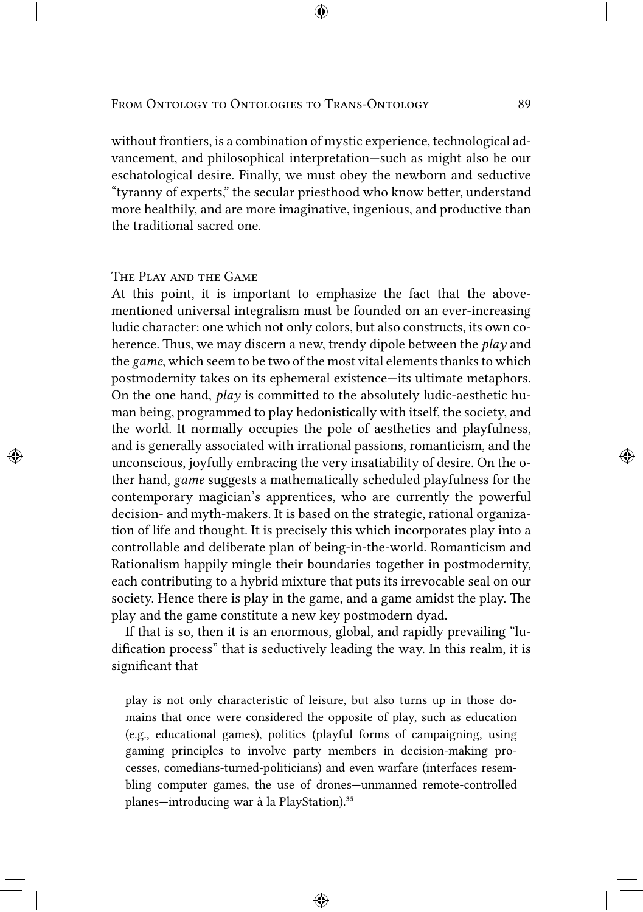without frontiers, is a combination of mystic experience, technological advancement, and philosophical interpretation—such as might also be our eschatological desire. Finally, we must obey the newborn and seductive "tyranny of experts," the secular priesthood who know better, understand more healthily, and are more imaginative, ingenious, and productive than the traditional sacred one.

# The Play and the Game

At this point, it is important to emphasize the fact that the abovementioned universal integralism must be founded on an ever-increasing ludic character: one which not only colors, but also constructs, its own coherence. Thus, we may discern a new, trendy dipole between the *play* and the *game*, which seem to be two of the most vital elements thanks to which postmodernity takes on its ephemeral existence—its ultimate metaphors. On the one hand, *play* is committed to the absolutely ludic-aesthetic human being, programmed to play hedonistically with itself, the society, and the world. It normally occupies the pole of aesthetics and playfulness, and is generally associated with irrational passions, romanticism, and the unconscious, joyfully embracing the very insatiability of desire. On the other hand, *game* suggests a mathematically scheduled playfulness for the contemporary magician's apprentices, who are currently the powerful decision- and myth-makers. It is based on the strategic, rational organization of life and thought. It is precisely this which incorporates play into a controllable and deliberate plan of being-in-the-world. Romanticism and Rationalism happily mingle their boundaries together in postmodernity, each contributing to a hybrid mixture that puts its irrevocable seal on our society. Hence there is play in the game, and a game amidst the play. The play and the game constitute a new key postmodern dyad.

If that is so, then it is an enormous, global, and rapidly prevailing "ludification process" that is seductively leading the way. In this realm, it is significant that

play is not only characteristic of leisure, but also turns up in those domains that once were considered the opposite of play, such as education (e.g., educational games), politics (playful forms of campaigning, using gaming principles to involve party members in decision-making processes, comedians-turned-politicians) and even warfare (interfaces resembling computer games, the use of drones—unmanned remote-controlled planes—introducing war à la PlayStation).<sup>35</sup>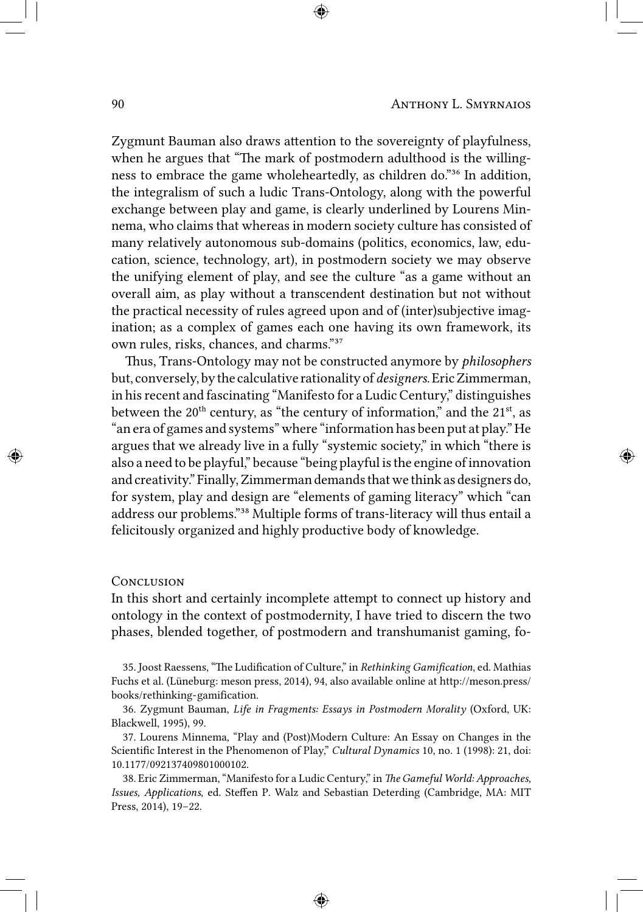Zygmunt Bauman also draws attention to the sovereignty of playfulness, when he argues that "The mark of postmodern adulthood is the willingness to embrace the game wholeheartedly, as children do."<sup>36</sup> In addition, the integralism of such a ludic Trans-Ontology, along with the powerful exchange between play and game, is clearly underlined by Lourens Minnema, who claims that whereas in modern society culture has consisted of many relatively autonomous sub-domains (politics, economics, law, education, science, technology, art), in postmodern society we may observe the unifying element of play, and see the culture "as a game without an overall aim, as play without a transcendent destination but not without the practical necessity of rules agreed upon and of (inter)subjective imagination; as a complex of games each one having its own framework, its own rules, risks, chances, and charms."<sup>37</sup>

Thus, Trans-Ontology may not be constructed anymore by *philosophers* but, conversely,by the calculative rationality of *designers*. Eric Zimmerman, in his recent and fascinating "Manifesto for a Ludic Century," distinguishes between the  $20<sup>th</sup>$  century, as "the century of information," and the  $21<sup>st</sup>$ , as "an era of games and systems" where "information has been put at play." He argues that we already live in a fully "systemic society," in which "there is also a need to be playful," because "being playful is the engine of innovation and creativity." Finally, Zimmerman demands that we think as designers do, for system, play and design are "elements of gaming literacy" which "can address our problems."<sup>38</sup> Multiple forms of trans-literacy will thus entail a felicitously organized and highly productive body of knowledge.

#### **CONCLUSION**

In this short and certainly incomplete attempt to connect up history and ontology in the context of postmodernity, I have tried to discern the two phases, blended together, of postmodern and transhumanist gaming, fo-

35. Joost Raessens, "The Ludification of Culture," in *Rethinking Gamification*, ed. Mathias Fuchs et al. (Lüneburg: meson press, 2014), 94, also available online at http://meson.press/ books/rethinking-gamification.

36. Zygmunt Bauman, *Life in Fragments: Essays in Postmodern Morality* (Oxford, UK: Blackwell, 1995), 99.

37. Lourens Minnema, "Play and (Post)Modern Culture: An Essay on Changes in the Scientific Interest in the Phenomenon of Play," *Cultural Dynamics* 10, no. 1 (1998): 21, doi: 10.1177/092137409801000102.

38. Eric Zimmerman, "Manifesto for a Ludic Century," in *The Gameful World: Approaches, Issues, Applications*, ed. Steffen P. Walz and Sebastian Deterding (Cambridge, MA: MIT Press, 2014), 19–22.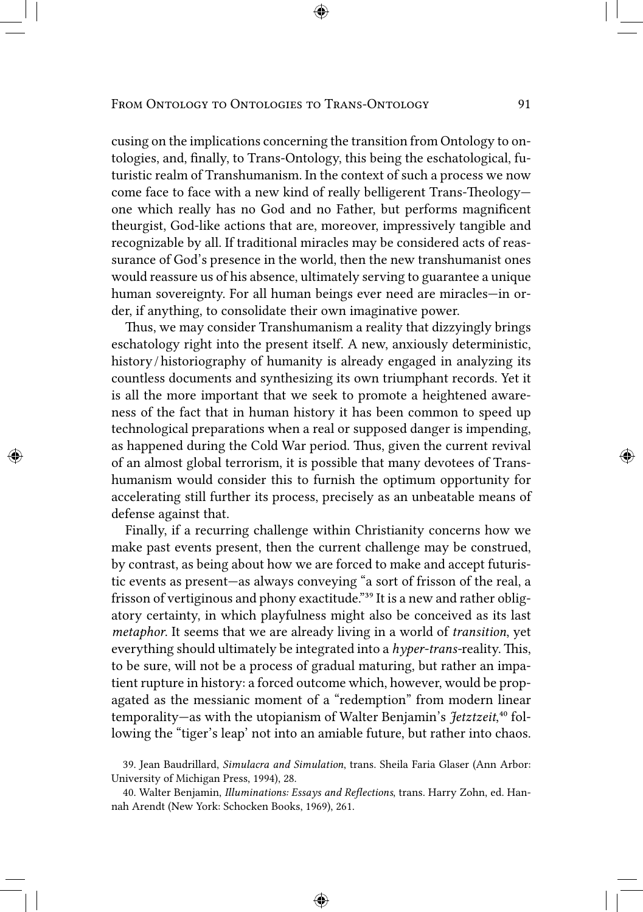cusing on the implications concerning the transition from Ontology to ontologies, and, finally, to Trans-Ontology, this being the eschatological, futuristic realm of Transhumanism. In the context of such a process we now come face to face with a new kind of really belligerent Trans-Theology one which really has no God and no Father, but performs magnificent theurgist, God-like actions that are, moreover, impressively tangible and recognizable by all. If traditional miracles may be considered acts of reassurance of God's presence in the world, then the new transhumanist ones would reassure us of his absence, ultimately serving to guarantee a unique human sovereignty. For all human beings ever need are miracles—in order, if anything, to consolidate their own imaginative power.

Thus, we may consider Transhumanism a reality that dizzyingly brings eschatology right into the present itself. A new, anxiously deterministic, history / historiography of humanity is already engaged in analyzing its countless documents and synthesizing its own triumphant records. Yet it is all the more important that we seek to promote a heightened awareness of the fact that in human history it has been common to speed up technological preparations when a real or supposed danger is impending, as happened during the Cold War period. Thus, given the current revival of an almost global terrorism, it is possible that many devotees of Transhumanism would consider this to furnish the optimum opportunity for accelerating still further its process, precisely as an unbeatable means of defense against that.

Finally, if a recurring challenge within Christianity concerns how we make past events present, then the current challenge may be construed, by contrast, as being about how we are forced to make and accept futuristic events as present—as always conveying "a sort of frisson of the real, a frisson of vertiginous and phony exactitude."<sup>39</sup> It is a new and rather obligatory certainty, in which playfulness might also be conceived as its last *metaphor*. It seems that we are already living in a world of *transition*, yet everything should ultimately be integrated into a *hyper-trans-*reality. This, to be sure, will not be a process of gradual maturing, but rather an impatient rupture in history: a forced outcome which, however, would be propagated as the messianic moment of a "redemption" from modern linear temporality—as with the utopianism of Walter Benjamin's *Jetztzeit*,<sup>40</sup> following the "tiger's leap' not into an amiable future, but rather into chaos.

<sup>39.</sup> Jean Baudrillard, *Simulacra and Simulation*, trans. Sheila Faria Glaser (Ann Arbor: University of Michigan Press, 1994), 28.

<sup>40.</sup> Walter Benjamin, *Illuminations: Essays and Reflections*, trans. Harry Zohn, ed. Hannah Arendt (New York: Schocken Books, 1969), 261.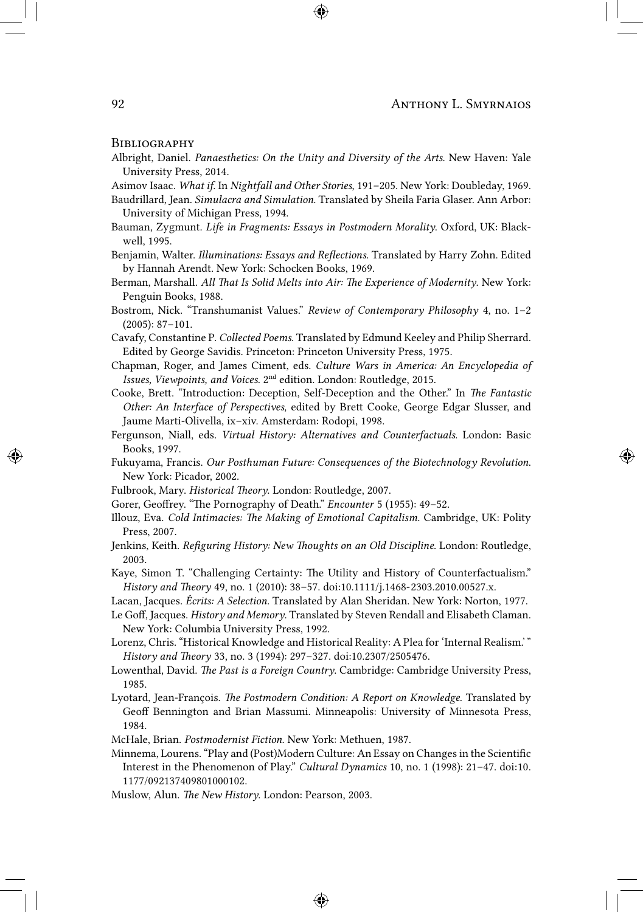#### **BIBLIOGRAPHY**

Albright, Daniel. *Panaesthetics: On the Unity and Diversity of the Arts*. New Haven: Yale University Press, 2014.

Asimov Isaac. *What if*. In *Nightfall and Other Stories*, 191–205. New York: Doubleday, 1969.

- Baudrillard, Jean. *Simulacra and Simulation*. Translated by Sheila Faria Glaser. Ann Arbor: University of Michigan Press, 1994.
- Bauman, Zygmunt. *Life in Fragments: Essays in Postmodern Morality*. Oxford, UK: Blackwell, 1995.
- Benjamin, Walter. *Illuminations: Essays and Reflections*. Translated by Harry Zohn. Edited by Hannah Arendt. New York: Schocken Books, 1969.
- Berman, Marshall. *All That Is Solid Melts into Air: The Experience of Modernity*. New York: Penguin Books, 1988.
- Bostrom, Nick. "Transhumanist Values." *Review of Contemporary Philosophy* 4, no. 1–2 (2005): 87–101.
- Cavafy, Constantine P. *Collected Poems*. Translated by Edmund Keeley and Philip Sherrard. Edited by George Savidis. Princeton: Princeton University Press, 1975.
- Chapman, Roger, and James Ciment, eds. *Culture Wars in America: An Encyclopedia of Issues, Viewpoints, and Voices.* 2<sup>nd</sup> edition. London: Routledge, 2015.
- Cooke, Brett. "Introduction: Deception, Self-Deception and the Other." In *The Fantastic Other: An Interface of Perspectives*, edited by Brett Cooke, George Edgar Slusser, and Jaume Marti-Olivella, ix–xiv. Amsterdam: Rodopi, 1998.
- Fergunson, Niall, eds. *Virtual History: Alternatives and Counterfactuals*. London: Basic Books, 1997.
- Fukuyama, Francis. *Our Posthuman Future: Consequences of the Biotechnology Revolution*. New York: Picador, 2002.
- Fulbrook, Mary. *Historical Theory*. London: Routledge, 2007.
- Gorer, Geoffrey. "The Pornography of Death." *Encounter* 5 (1955): 49–52.
- Illouz, Eva. *Cold Intimacies: The Making of Emotional Capitalism*. Cambridge, UK: Polity Press, 2007.
- Jenkins, Keith. *Refiguring History: New Thoughts on an Old Discipline*. London: Routledge, 2003.
- Kaye, Simon T. "Challenging Certainty: The Utility and History of Counterfactualism." *History and Theory* 49, no. 1 (2010): 38–57. doi:10.1111/j.1468-2303.2010.00527.x.
- Lacan, Jacques. *Écrits: A Selection*. Translated by Alan Sheridan. New York: Norton, 1977.
- Le Goff, Jacques. *History and Memory*. Translated by Steven Rendall and Elisabeth Claman. New York: Columbia University Press, 1992.
- Lorenz, Chris. "Historical Knowledge and Historical Reality: A Plea for 'Internal Realism.' " *History and Theory* 33, no. 3 (1994): 297–327. doi:10.2307/2505476.
- Lowenthal, David. *The Past is a Foreign Country*. Cambridge: Cambridge University Press, 1985.
- Lyotard, Jean-François. *The Postmodern Condition: A Report on Knowledge*. Translated by Geoff Bennington and Brian Massumi. Minneapolis: University of Minnesota Press, 1984.
- McHale, Brian. *Postmodernist Fiction*. New York: Methuen, 1987.
- Minnema, Lourens. "Play and (Post)Modern Culture: An Essay on Changes in the Scientific Interest in the Phenomenon of Play." *Cultural Dynamics* 10, no. 1 (1998): 21–47. doi:10. 1177/092137409801000102.
- Muslow, Alun. *The New History*. London: Pearson, 2003.